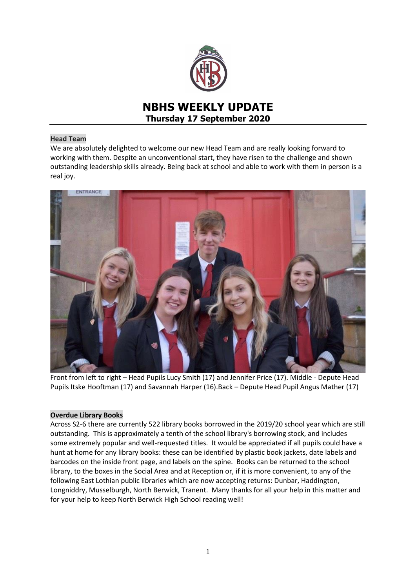

# **NBHS WEEKLY UPDATE Thursday 17 September 2020**

## **Head Team**

We are absolutely delighted to welcome our new Head Team and are really looking forward to working with them. Despite an unconventional start, they have risen to the challenge and shown outstanding leadership skills already. Being back at school and able to work with them in person is a real joy.



Front from left to right – Head Pupils Lucy Smith (17) and Jennifer Price (17). Middle - Depute Head Pupils Itske Hooftman (17) and Savannah Harper (16).Back – Depute Head Pupil Angus Mather (17)

## **Overdue Library Books**

Across S2-6 there are currently 522 library books borrowed in the 2019/20 school year which are still outstanding. This is approximately a tenth of the school library's borrowing stock, and includes some extremely popular and well-requested titles. It would be appreciated if all pupils could have a hunt at home for any library books: these can be identified by plastic book jackets, date labels and barcodes on the inside front page, and labels on the spine. Books can be returned to the school library, to the boxes in the Social Area and at Reception or, if it is more convenient, to any of the following East Lothian public libraries which are now accepting returns: Dunbar, Haddington, Longniddry, Musselburgh, North Berwick, Tranent. Many thanks for all your help in this matter and for your help to keep North Berwick High School reading well!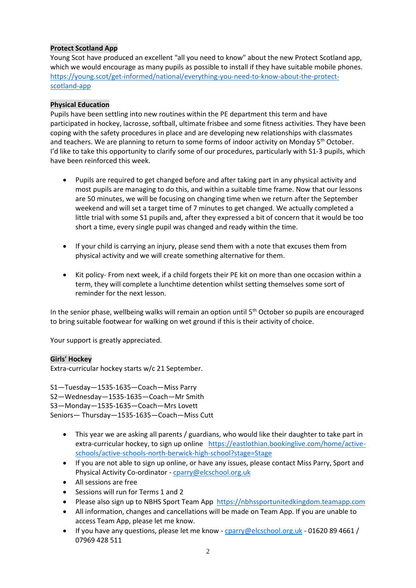## **Protect Scotland App**

Young Scot have produced an excellent "all you need to know" about the new Protect Scotland app, which we would encourage as many pupils as possible to install if they have suitable mobile phones. [https://young.scot/get-informed/national/everything-you-need-to-know-about-the-protect](https://young.scot/get-informed/national/everything-you-need-to-know-about-the-protect-scotland-app)[scotland-app](https://young.scot/get-informed/national/everything-you-need-to-know-about-the-protect-scotland-app) 

## **Physical Education**

Pupils have been settling into new routines within the PE department this term and have participated in hockey, lacrosse, softball, ultimate frisbee and some fitness activities. They have been coping with the safety procedures in place and are developing new relationships with classmates and teachers. We are planning to return to some forms of indoor activity on Monday 5<sup>th</sup> October. I'd like to take this opportunity to clarify some of our procedures, particularly with S1-3 pupils, which have been reinforced this week.

- Pupils are required to get changed before and after taking part in any physical activity and most pupils are managing to do this, and within a suitable time frame. Now that our lessons are 50 minutes, we will be focusing on changing time when we return after the September weekend and will set a target time of 7 minutes to get changed. We actually completed a little trial with some S1 pupils and, after they expressed a bit of concern that it would be too short a time, every single pupil was changed and ready within the time.
- If your child is carrying an injury, please send them with a note that excuses them from physical activity and we will create something alternative for them.
- Kit policy- From next week, if a child forgets their PE kit on more than one occasion within a term, they will complete a lunchtime detention whilst setting themselves some sort of reminder for the next lesson.

In the senior phase, wellbeing walks will remain an option until 5<sup>th</sup> October so pupils are encouraged to bring suitable footwear for walking on wet ground if this is their activity of choice.

Your support is greatly appreciated.

## **Girls' Hockey**

Extra-curricular hockey starts w/c 21 September.

S1—Tuesday—1535-1635—Coach—Miss Parry S2—Wednesday—1535-1635—Coach—Mr Smith S3—Monday—1535-1635—Coach—Mrs Lovett Seniors— Thursday—1535-1635—Coach—Miss Cutt

- This year we are asking all parents / guardians, who would like their daughter to take part in extra-curricular hockey, to sign up online [https://eastlothian.bookinglive.com/home/active](https://eastlothian.bookinglive.com/home/active-schools/active-schools-north-berwick-high-school?stage=Stage)[schools/active-schools-north-berwick-high-school?stage=Stage](https://eastlothian.bookinglive.com/home/active-schools/active-schools-north-berwick-high-school?stage=Stage)
- If you are not able to sign up online, or have any issues, please contact Miss Parry, Sport and Physical Activity Co-ordinator - [cparry@elcschool.org.uk](mailto:cparry@elcschool.org.uk)
- All sessions are free
- Sessions will run for Terms 1 and 2
- Please also sign up to NBHS Sport Team App [https://nbhssportunitedkingdom.teamapp.com](https://nbhssportunitedkingdom.teamapp.com/?_webpage=v1)
- All information, changes and cancellations will be made on Team App. If you are unable to access Team App, please let me know.
- $\bullet$  If you have any questions, please let me know [cparry@elcschool.org.uk](mailto:cparry@elcschool.org.uk) 01620 89 4661 / 07969 428 511